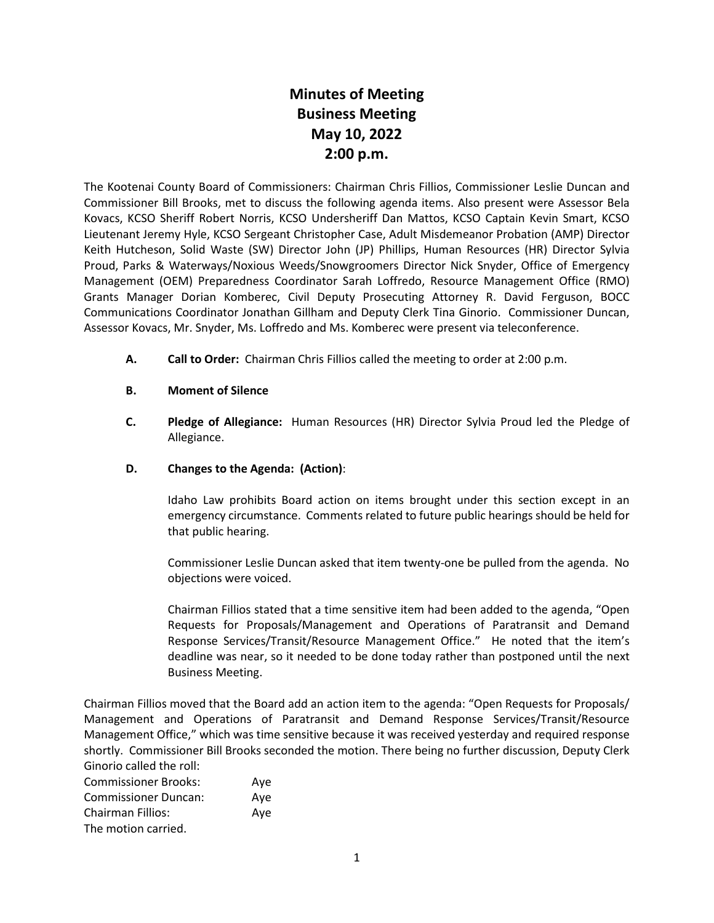# **Minutes of Meeting Business Meeting May 10, 2022 2:00 p.m.**

The Kootenai County Board of Commissioners: Chairman Chris Fillios, Commissioner Leslie Duncan and Commissioner Bill Brooks, met to discuss the following agenda items. Also present were Assessor Bela Kovacs, KCSO Sheriff Robert Norris, KCSO Undersheriff Dan Mattos, KCSO Captain Kevin Smart, KCSO Lieutenant Jeremy Hyle, KCSO Sergeant Christopher Case, Adult Misdemeanor Probation (AMP) Director Keith Hutcheson, Solid Waste (SW) Director John (JP) Phillips, Human Resources (HR) Director Sylvia Proud, Parks & Waterways/Noxious Weeds/Snowgroomers Director Nick Snyder, Office of Emergency Management (OEM) Preparedness Coordinator Sarah Loffredo, Resource Management Office (RMO) Grants Manager Dorian Komberec, Civil Deputy Prosecuting Attorney R. David Ferguson, BOCC Communications Coordinator Jonathan Gillham and Deputy Clerk Tina Ginorio. Commissioner Duncan, Assessor Kovacs, Mr. Snyder, Ms. Loffredo and Ms. Komberec were present via teleconference.

**A. Call to Order:** Chairman Chris Fillios called the meeting to order at 2:00 p.m.

# **B. Moment of Silence**

**C. Pledge of Allegiance:** Human Resources (HR) Director Sylvia Proud led the Pledge of Allegiance.

## **D. Changes to the Agenda: (Action)**:

Idaho Law prohibits Board action on items brought under this section except in an emergency circumstance. Comments related to future public hearings should be held for that public hearing.

Commissioner Leslie Duncan asked that item twenty-one be pulled from the agenda. No objections were voiced.

Chairman Fillios stated that a time sensitive item had been added to the agenda, "Open Requests for Proposals/Management and Operations of Paratransit and Demand Response Services/Transit/Resource Management Office." He noted that the item's deadline was near, so it needed to be done today rather than postponed until the next Business Meeting.

Chairman Fillios moved that the Board add an action item to the agenda: "Open Requests for Proposals/ Management and Operations of Paratransit and Demand Response Services/Transit/Resource Management Office," which was time sensitive because it was received yesterday and required response shortly. Commissioner Bill Brooks seconded the motion. There being no further discussion, Deputy Clerk Ginorio called the roll:

| <b>Commissioner Brooks:</b> | Ave |
|-----------------------------|-----|
| Commissioner Duncan:        | Ave |
| Chairman Fillios:           | Ave |
| The motion carried.         |     |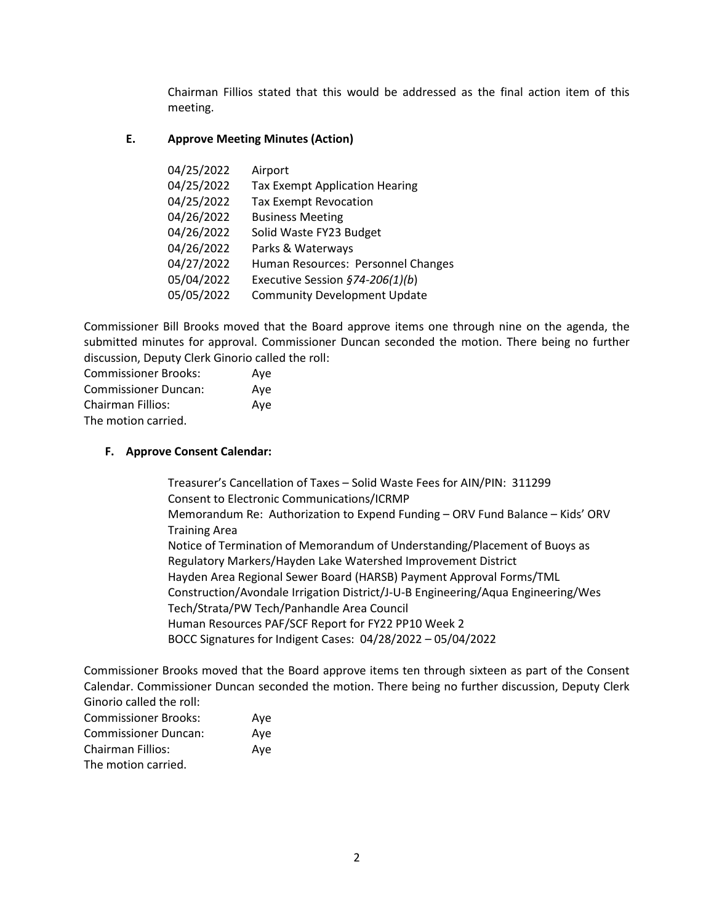Chairman Fillios stated that this would be addressed as the final action item of this meeting.

## **E. Approve Meeting Minutes (Action)**

| 04/25/2022 | Airport                               |
|------------|---------------------------------------|
| 04/25/2022 | <b>Tax Exempt Application Hearing</b> |
| 04/25/2022 | <b>Tax Exempt Revocation</b>          |
| 04/26/2022 | <b>Business Meeting</b>               |
| 04/26/2022 | Solid Waste FY23 Budget               |
| 04/26/2022 | Parks & Waterways                     |
| 04/27/2022 | Human Resources: Personnel Changes    |
| 05/04/2022 | Executive Session §74-206(1)(b)       |
| 05/05/2022 | <b>Community Development Update</b>   |

Commissioner Bill Brooks moved that the Board approve items one through nine on the agenda, the submitted minutes for approval. Commissioner Duncan seconded the motion. There being no further discussion, Deputy Clerk Ginorio called the roll:

| <b>Commissioner Brooks:</b> | Aye |
|-----------------------------|-----|
| <b>Commissioner Duncan:</b> | Ave |
| Chairman Fillios:           | Aye |
| The motion carried.         |     |

# **F. Approve Consent Calendar:**

Treasurer's Cancellation of Taxes – Solid Waste Fees for AIN/PIN: 311299 Consent to Electronic Communications/ICRMP Memorandum Re: Authorization to Expend Funding – ORV Fund Balance – Kids' ORV Training Area Notice of Termination of Memorandum of Understanding/Placement of Buoys as Regulatory Markers/Hayden Lake Watershed Improvement District Hayden Area Regional Sewer Board (HARSB) Payment Approval Forms/TML Construction/Avondale Irrigation District/J-U-B Engineering/Aqua Engineering/Wes Tech/Strata/PW Tech/Panhandle Area Council Human Resources PAF/SCF Report for FY22 PP10 Week 2 BOCC Signatures for Indigent Cases: 04/28/2022 – 05/04/2022

Commissioner Brooks moved that the Board approve items ten through sixteen as part of the Consent Calendar. Commissioner Duncan seconded the motion. There being no further discussion, Deputy Clerk Ginorio called the roll:

| <b>Commissioner Brooks:</b> | Ave |
|-----------------------------|-----|
| <b>Commissioner Duncan:</b> | Aye |
| <b>Chairman Fillios:</b>    | Aye |
| The motion carried.         |     |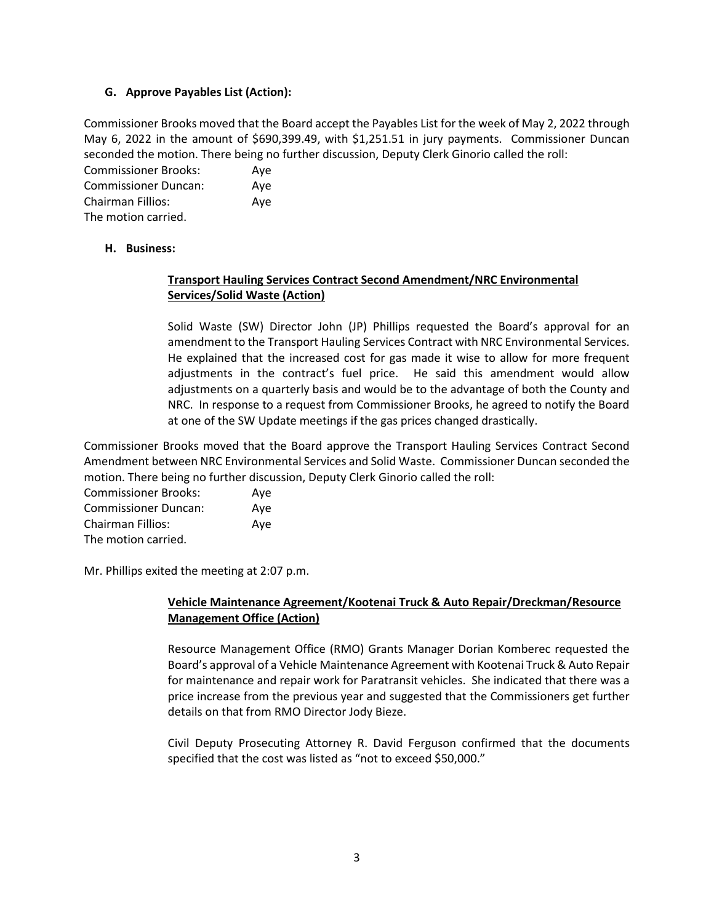#### **G. Approve Payables List (Action):**

Commissioner Brooks moved that the Board accept the Payables List for the week of May 2, 2022 through May 6, 2022 in the amount of \$690,399.49, with \$1,251.51 in jury payments. Commissioner Duncan seconded the motion. There being no further discussion, Deputy Clerk Ginorio called the roll:

| <b>Commissioner Brooks:</b> | Ave |
|-----------------------------|-----|
| <b>Commissioner Duncan:</b> | Ave |
| <b>Chairman Fillios:</b>    | Ave |
| The motion carried.         |     |

#### **H. Business:**

# **Transport Hauling Services Contract Second Amendment/NRC Environmental Services/Solid Waste (Action)**

Solid Waste (SW) Director John (JP) Phillips requested the Board's approval for an amendment to the Transport Hauling Services Contract with NRC Environmental Services. He explained that the increased cost for gas made it wise to allow for more frequent adjustments in the contract's fuel price. He said this amendment would allow adjustments on a quarterly basis and would be to the advantage of both the County and NRC. In response to a request from Commissioner Brooks, he agreed to notify the Board at one of the SW Update meetings if the gas prices changed drastically.

Commissioner Brooks moved that the Board approve the Transport Hauling Services Contract Second Amendment between NRC Environmental Services and Solid Waste. Commissioner Duncan seconded the motion. There being no further discussion, Deputy Clerk Ginorio called the roll:

| <b>Commissioner Brooks:</b> | Ave |
|-----------------------------|-----|
| <b>Commissioner Duncan:</b> | Ave |
| Chairman Fillios:           | Aye |
| The motion carried.         |     |

Mr. Phillips exited the meeting at 2:07 p.m.

#### **Vehicle Maintenance Agreement/Kootenai Truck & Auto Repair/Dreckman/Resource Management Office (Action)**

Resource Management Office (RMO) Grants Manager Dorian Komberec requested the Board's approval of a Vehicle Maintenance Agreement with Kootenai Truck & Auto Repair for maintenance and repair work for Paratransit vehicles. She indicated that there was a price increase from the previous year and suggested that the Commissioners get further details on that from RMO Director Jody Bieze.

Civil Deputy Prosecuting Attorney R. David Ferguson confirmed that the documents specified that the cost was listed as "not to exceed \$50,000."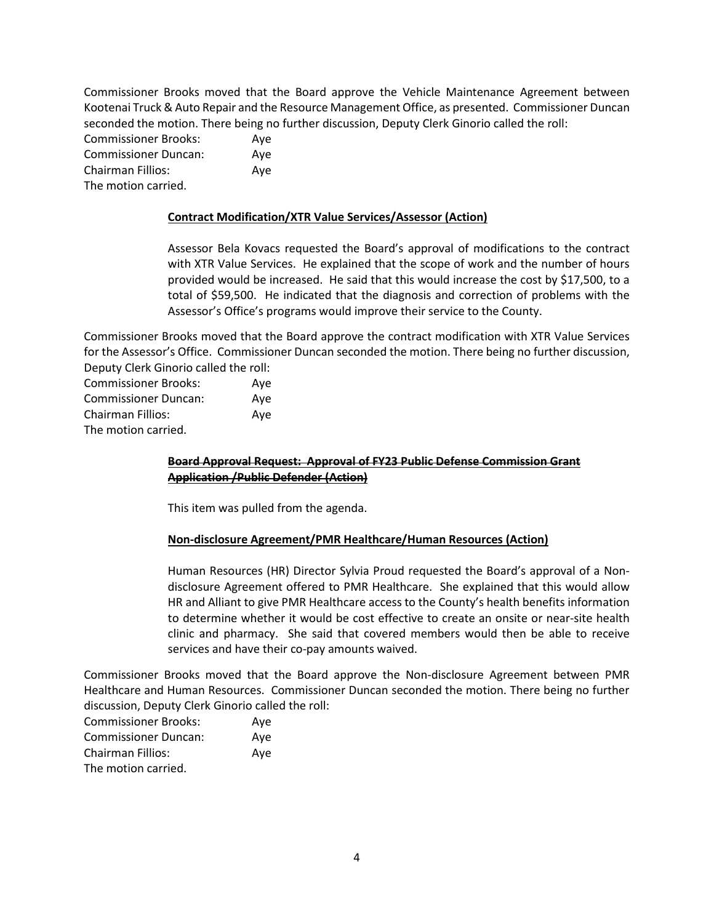Commissioner Brooks moved that the Board approve the Vehicle Maintenance Agreement between Kootenai Truck & Auto Repair and the Resource Management Office, as presented. Commissioner Duncan seconded the motion. There being no further discussion, Deputy Clerk Ginorio called the roll:

Commissioner Brooks: Aye Commissioner Duncan: Aye Chairman Fillios: Aye The motion carried.

#### **Contract Modification/XTR Value Services/Assessor (Action)**

Assessor Bela Kovacs requested the Board's approval of modifications to the contract with XTR Value Services. He explained that the scope of work and the number of hours provided would be increased. He said that this would increase the cost by \$17,500, to a total of \$59,500. He indicated that the diagnosis and correction of problems with the Assessor's Office's programs would improve their service to the County.

Commissioner Brooks moved that the Board approve the contract modification with XTR Value Services for the Assessor's Office. Commissioner Duncan seconded the motion. There being no further discussion, Deputy Clerk Ginorio called the roll:

| <b>Commissioner Brooks:</b> | Aye |
|-----------------------------|-----|
| <b>Commissioner Duncan:</b> | Aye |
| Chairman Fillios:           | Ave |
| The motion carried.         |     |

# **Board Approval Request: Approval of FY23 Public Defense Commission Grant Application /Public Defender (Action)**

This item was pulled from the agenda.

#### **Non-disclosure Agreement/PMR Healthcare/Human Resources (Action)**

Human Resources (HR) Director Sylvia Proud requested the Board's approval of a Nondisclosure Agreement offered to PMR Healthcare. She explained that this would allow HR and Alliant to give PMR Healthcare access to the County's health benefits information to determine whether it would be cost effective to create an onsite or near-site health clinic and pharmacy. She said that covered members would then be able to receive services and have their co-pay amounts waived.

Commissioner Brooks moved that the Board approve the Non-disclosure Agreement between PMR Healthcare and Human Resources. Commissioner Duncan seconded the motion. There being no further discussion, Deputy Clerk Ginorio called the roll:

| <b>Commissioner Brooks:</b> | Aye |
|-----------------------------|-----|
| <b>Commissioner Duncan:</b> | Ave |
| <b>Chairman Fillios:</b>    | Aye |
| The motion carried.         |     |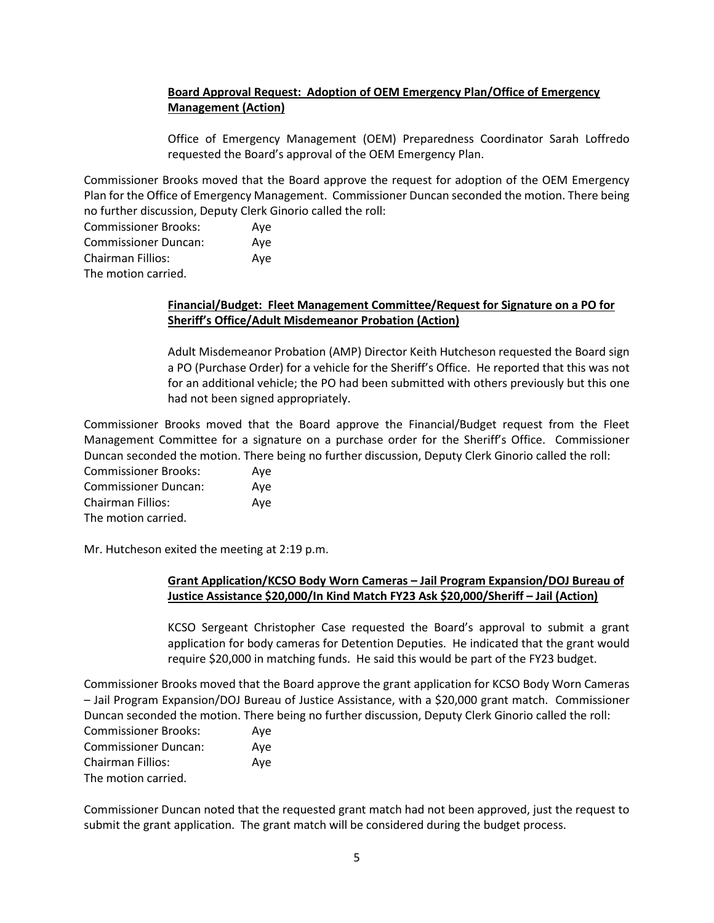# **Board Approval Request: Adoption of OEM Emergency Plan/Office of Emergency Management (Action)**

Office of Emergency Management (OEM) Preparedness Coordinator Sarah Loffredo requested the Board's approval of the OEM Emergency Plan.

Commissioner Brooks moved that the Board approve the request for adoption of the OEM Emergency Plan for the Office of Emergency Management. Commissioner Duncan seconded the motion. There being no further discussion, Deputy Clerk Ginorio called the roll:

| <b>Commissioner Brooks:</b> | Ave |
|-----------------------------|-----|
| <b>Commissioner Duncan:</b> | Ave |
| Chairman Fillios:           | Ave |
| The motion carried.         |     |

## **Financial/Budget: Fleet Management Committee/Request for Signature on a PO for Sheriff's Office/Adult Misdemeanor Probation (Action)**

Adult Misdemeanor Probation (AMP) Director Keith Hutcheson requested the Board sign a PO (Purchase Order) for a vehicle for the Sheriff's Office. He reported that this was not for an additional vehicle; the PO had been submitted with others previously but this one had not been signed appropriately.

Commissioner Brooks moved that the Board approve the Financial/Budget request from the Fleet Management Committee for a signature on a purchase order for the Sheriff's Office. Commissioner Duncan seconded the motion. There being no further discussion, Deputy Clerk Ginorio called the roll:

Commissioner Brooks: Aye Commissioner Duncan: Aye Chairman Fillios: Aye The motion carried.

Mr. Hutcheson exited the meeting at 2:19 p.m.

# **Grant Application/KCSO Body Worn Cameras – Jail Program Expansion/DOJ Bureau of Justice Assistance \$20,000/In Kind Match FY23 Ask \$20,000/Sheriff – Jail (Action)**

KCSO Sergeant Christopher Case requested the Board's approval to submit a grant application for body cameras for Detention Deputies. He indicated that the grant would require \$20,000 in matching funds. He said this would be part of the FY23 budget.

Commissioner Brooks moved that the Board approve the grant application for KCSO Body Worn Cameras – Jail Program Expansion/DOJ Bureau of Justice Assistance, with a \$20,000 grant match. Commissioner Duncan seconded the motion. There being no further discussion, Deputy Clerk Ginorio called the roll:

| <b>Commissioner Brooks:</b> | Ave |
|-----------------------------|-----|
| <b>Commissioner Duncan:</b> | Ave |
| Chairman Fillios:           | Ave |
| The motion carried.         |     |

Commissioner Duncan noted that the requested grant match had not been approved, just the request to submit the grant application. The grant match will be considered during the budget process.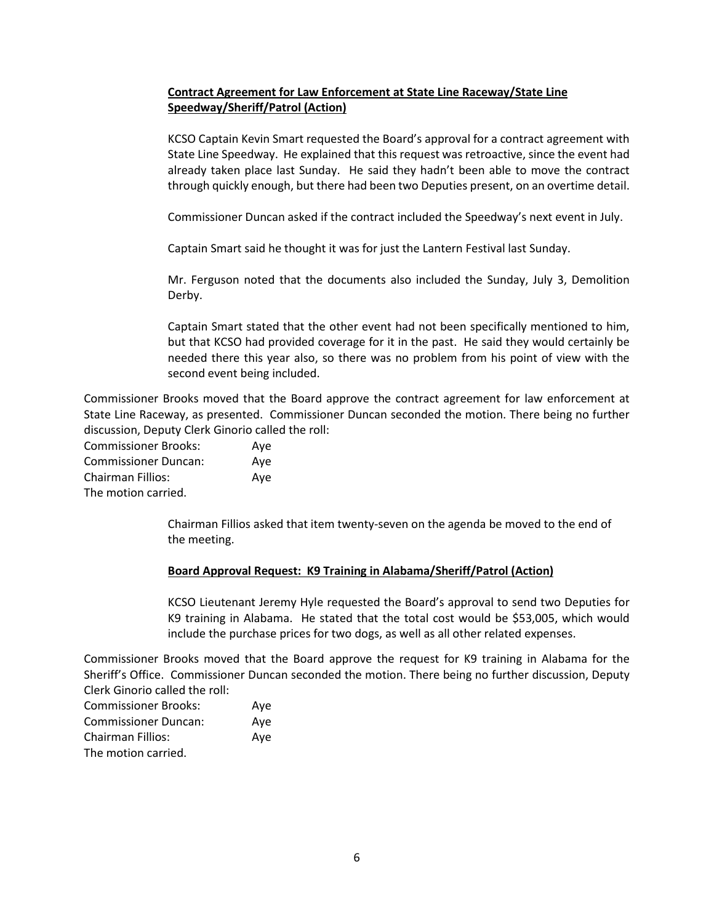# **Contract Agreement for Law Enforcement at State Line Raceway/State Line Speedway/Sheriff/Patrol (Action)**

KCSO Captain Kevin Smart requested the Board's approval for a contract agreement with State Line Speedway. He explained that this request was retroactive, since the event had already taken place last Sunday. He said they hadn't been able to move the contract through quickly enough, but there had been two Deputies present, on an overtime detail.

Commissioner Duncan asked if the contract included the Speedway's next event in July.

Captain Smart said he thought it was for just the Lantern Festival last Sunday.

Mr. Ferguson noted that the documents also included the Sunday, July 3, Demolition Derby.

Captain Smart stated that the other event had not been specifically mentioned to him, but that KCSO had provided coverage for it in the past. He said they would certainly be needed there this year also, so there was no problem from his point of view with the second event being included.

Commissioner Brooks moved that the Board approve the contract agreement for law enforcement at State Line Raceway, as presented. Commissioner Duncan seconded the motion. There being no further discussion, Deputy Clerk Ginorio called the roll:

| <b>Commissioner Brooks:</b> | Aye |
|-----------------------------|-----|
| <b>Commissioner Duncan:</b> | Ave |
| Chairman Fillios:           | Aye |
| The motion carried.         |     |

Chairman Fillios asked that item twenty-seven on the agenda be moved to the end of the meeting.

#### **Board Approval Request: K9 Training in Alabama/Sheriff/Patrol (Action)**

KCSO Lieutenant Jeremy Hyle requested the Board's approval to send two Deputies for K9 training in Alabama. He stated that the total cost would be \$53,005, which would include the purchase prices for two dogs, as well as all other related expenses.

Commissioner Brooks moved that the Board approve the request for K9 training in Alabama for the Sheriff's Office. Commissioner Duncan seconded the motion. There being no further discussion, Deputy Clerk Ginorio called the roll:

| <b>Commissioner Brooks:</b> | Aye |
|-----------------------------|-----|
| <b>Commissioner Duncan:</b> | Ave |
| <b>Chairman Fillios:</b>    | Ave |
| The motion carried.         |     |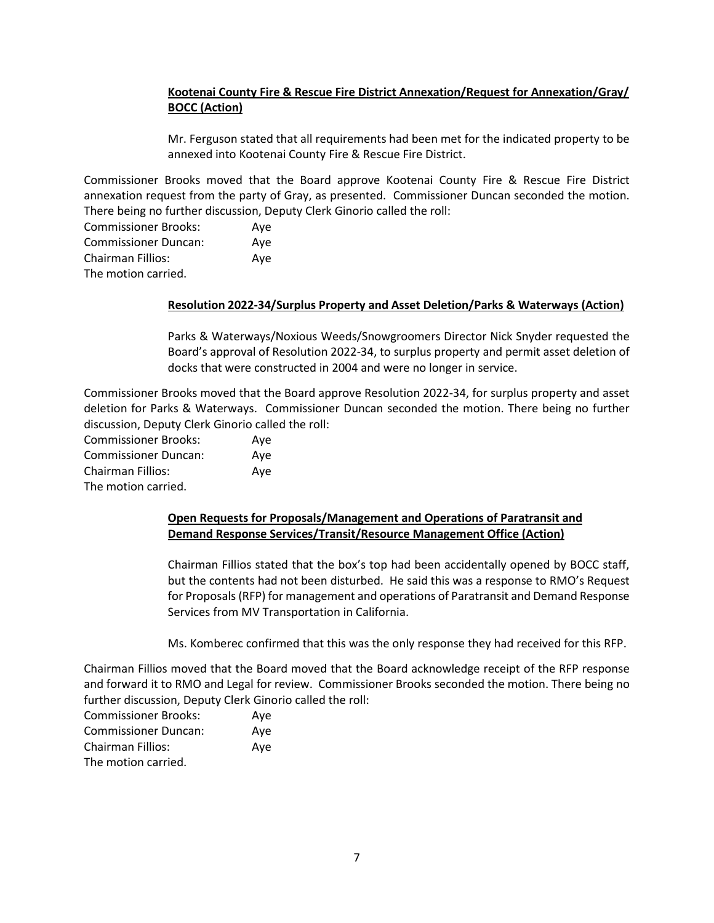# **Kootenai County Fire & Rescue Fire District Annexation/Request for Annexation/Gray/ BOCC (Action)**

Mr. Ferguson stated that all requirements had been met for the indicated property to be annexed into Kootenai County Fire & Rescue Fire District.

Commissioner Brooks moved that the Board approve Kootenai County Fire & Rescue Fire District annexation request from the party of Gray, as presented. Commissioner Duncan seconded the motion. There being no further discussion, Deputy Clerk Ginorio called the roll:

| <b>Commissioner Brooks:</b> | Ave |
|-----------------------------|-----|
| <b>Commissioner Duncan:</b> | Ave |
| Chairman Fillios:           | Ave |
| The motion carried.         |     |

#### **Resolution 2022-34/Surplus Property and Asset Deletion/Parks & Waterways (Action)**

Parks & Waterways/Noxious Weeds/Snowgroomers Director Nick Snyder requested the Board's approval of Resolution 2022-34, to surplus property and permit asset deletion of docks that were constructed in 2004 and were no longer in service.

Commissioner Brooks moved that the Board approve Resolution 2022-34, for surplus property and asset deletion for Parks & Waterways. Commissioner Duncan seconded the motion. There being no further discussion, Deputy Clerk Ginorio called the roll:

| <b>Commissioner Brooks:</b> | Aye |
|-----------------------------|-----|
| <b>Commissioner Duncan:</b> | Ave |
| <b>Chairman Fillios:</b>    | Aye |
| The motion carried.         |     |

#### **Open Requests for Proposals/Management and Operations of Paratransit and Demand Response Services/Transit/Resource Management Office (Action)**

Chairman Fillios stated that the box's top had been accidentally opened by BOCC staff, but the contents had not been disturbed. He said this was a response to RMO's Request for Proposals (RFP) for management and operations of Paratransit and Demand Response Services from MV Transportation in California.

Ms. Komberec confirmed that this was the only response they had received for this RFP.

Chairman Fillios moved that the Board moved that the Board acknowledge receipt of the RFP response and forward it to RMO and Legal for review. Commissioner Brooks seconded the motion. There being no further discussion, Deputy Clerk Ginorio called the roll:

| <b>Commissioner Brooks:</b> | Aye |
|-----------------------------|-----|
| <b>Commissioner Duncan:</b> | Ave |
| <b>Chairman Fillios:</b>    | Ave |
| The motion carried.         |     |